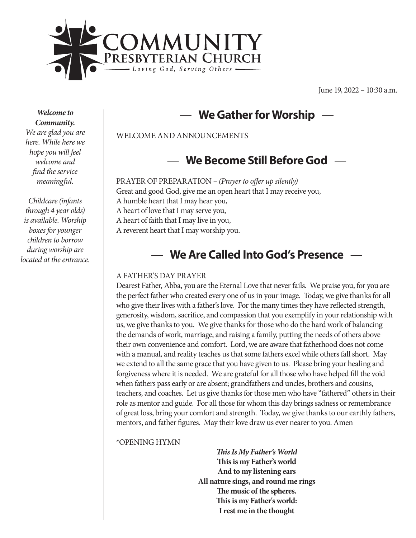

June 19, 2022 – 10:30 a.m.

#### *Welcome to Community. We are glad you are here. While here we hope you will feel welcome and find the service meaningful.*

*Childcare (infants through 4 year olds) is available. Worship boxes for younger children to borrow during worship are located at the entrance.*

# — **We Gather for Worship** *—*

WELCOME AND ANNOUNCEMENTS

# — **We Become Still Before God** *—*

PRAYER OF PREPARATION *– (Prayer to offer up silently)*  Great and good God, give me an open heart that I may receive you, A humble heart that I may hear you, A heart of love that I may serve you, A heart of faith that I may live in you, A reverent heart that I may worship you.

# — **We Are Called Into God's Presence** *—*

#### A FATHER'S DAY PRAYER

Dearest Father, Abba, you are the Eternal Love that never fails. We praise you, for you are the perfect father who created every one of us in your image. Today, we give thanks for all who give their lives with a father's love. For the many times they have reflected strength, generosity, wisdom, sacrifice, and compassion that you exemplify in your relationship with us, we give thanks to you. We give thanks for those who do the hard work of balancing the demands of work, marriage, and raising a family, putting the needs of others above their own convenience and comfort. Lord, we are aware that fatherhood does not come with a manual, and reality teaches us that some fathers excel while others fall short. May we extend to all the same grace that you have given to us. Please bring your healing and forgiveness where it is needed. We are grateful for all those who have helped fill the void when fathers pass early or are absent; grandfathers and uncles, brothers and cousins, teachers, and coaches. Let us give thanks for those men who have "fathered" others in their role as mentor and guide. For all those for whom this day brings sadness or remembrance of great loss, bring your comfort and strength. Today, we give thanks to our earthly fathers, mentors, and father figures. May their love draw us ever nearer to you. Amen

#### \*OPENING HYMN

*This Is My Father's World* **This is my Father's world And to my listening ears All nature sings, and round me rings The music of the spheres. This is my Father's world: I rest me in the thought**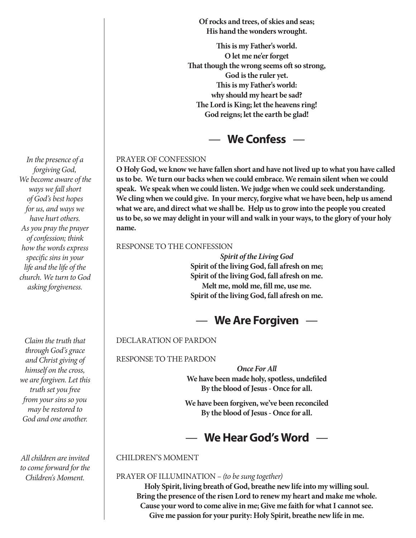**Of rocks and trees, of skies and seas; His hand the wonders wrought.**

**This is my Father's world. O let me ne'er forget That though the wrong seems oft so strong, God is the ruler yet. This is my Father's world: why should my heart be sad? The Lord is King; let the heavens ring! God reigns; let the earth be glad!**

— **We Confess** *—*

#### PRAYER OF CONFESSION

**O Holy God, we know we have fallen short and have not lived up to what you have called us to be. We turn our backs when we could embrace. We remain silent when we could speak. We speak when we could listen. We judge when we could seek understanding. We cling when we could give. In your mercy, forgive what we have been, help us amend what we are, and direct what we shall be. Help us to grow into the people you created us to be, so we may delight in your will and walk in your ways, to the glory of your holy name.**

#### RESPONSE TO THE CONFESSION

*Spirit of the Living God* **Spirit of the living God, fall afresh on me; Spirit of the living God, fall afresh on me. Melt me, mold me, fill me, use me. Spirit of the living God, fall afresh on me.** 

### — **We Are Forgiven** *—*

#### DECLARATION OF PARDON

#### RESPONSE TO THE PARDON

*Once For All* **We have been made holy, spotless, undefiled By the blood of Jesus - Once for all.**

**We have been forgiven, we've been reconciled By the blood of Jesus - Once for all.**

## — **We Hear God's Word** *—*

#### CHILDREN'S MOMENT

#### PRAYER OF ILLUMINATION *– (to be sung together)*

**Holy Spirit, living breath of God, breathe new life into my willing soul. Bring the presence of the risen Lord to renew my heart and make me whole. Cause your word to come alive in me; Give me faith for what I cannot see. Give me passion for your purity: Holy Spirit, breathe new life in me.**

*In the presence of a forgiving God, We become aware of the ways we fall short of God's best hopes for us, and ways we have hurt others. As you pray the prayer of confession; think how the words express specific sins in your life and the life of the church. We turn to God asking forgiveness.*

*Claim the truth that through God's grace and Christ giving of himself on the cross, we are forgiven. Let this truth set you free from your sins so you may be restored to God and one another.*

*All children are invited to come forward for the Children's Moment.*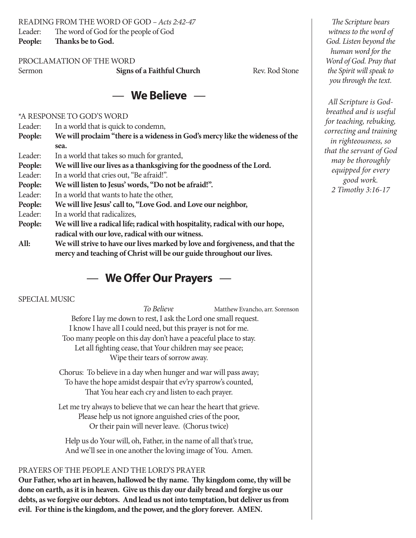READING FROM THE WORD OF GOD *– Acts 2:42-47*

Leader: The word of God for the people of God

**People: Thanks be to God.**

PROCLAMATION OF THE WORD Sermon **Signs of a Faithful Church** Rev. Rod Stone

## — **We Believe** *—*

#### \*A RESPONSE TO GOD'S WORD

- Leader: In a world that is quick to condemn, **People: We will proclaim "there is a wideness in God's mercy like the wideness of the sea.** Leader: In a world that takes so much for granted,
- **People: We will live our lives as a thanksgiving for the goodness of the Lord.**
- Leader: In a world that cries out, "Be afraid!".
- **People: We will listen to Jesus' words, "Do not be afraid!".**
- Leader: In a world that wants to hate the other,
- **People: We will live Jesus' call to, "Love God. and Love our neighbor,**
- Leader: In a world that radicalizes,
- **People: We will live a radical life; radical with hospitality, radical with our hope, radical with our love, radical with our witness.**
- **All: We will strive to have our lives marked by love and forgiveness, and that the mercy and teaching of Christ will be our guide throughout our lives.**

# — **We Offer Our Prayers** *—*

#### SPECIAL MUSIC

 *To Believe* Matthew Evancho, arr. Sorenson Before I lay me down to rest, I ask the Lord one small request. I know I have all I could need, but this prayer is not for me. Too many people on this day don't have a peaceful place to stay. Let all fighting cease, that Your children may see peace; Wipe their tears of sorrow away.

Chorus: To believe in a day when hunger and war will pass away; To have the hope amidst despair that ev'ry sparrow's counted, That You hear each cry and listen to each prayer.

Let me try always to believe that we can hear the heart that grieve. Please help us not ignore anguished cries of the poor, Or their pain will never leave. (Chorus twice)

Help us do Your will, oh, Father, in the name of all that's true, And we'll see in one another the loving image of You. Amen.

### PRAYERS OF THE PEOPLE AND THE LORD'S PRAYER

**Our Father, who art in heaven, hallowed be thy name. Thy kingdom come, thy will be done on earth, as it is in heaven. Give us this day our daily bread and forgive us our debts, as we forgive our debtors. And lead us not into temptation, but deliver us from evil. For thine is the kingdom, and the power, and the glory forever. AMEN.**

*The Scripture bears witness to the word of God. Listen beyond the human word for the Word of God. Pray that the Spirit will speak to you through the text.*

*All Scripture is Godbreathed and is useful for teaching, rebuking, correcting and training in righteousness, so that the servant of God may be thoroughly equipped for every good work. 2 Timothy 3:16-17*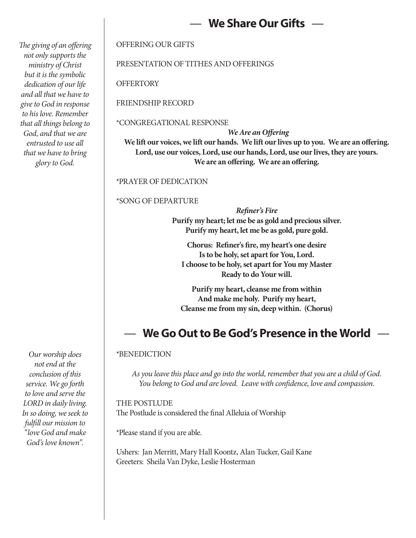— **We Share Our Gifts** *—*

*The giving of an offering not only supports the ministry of Christ but it is the symbolic dedication of our life and all that we have to give to God in response to his love. Remember that all things belong to God, and that we are entrusted to use all that we have to bring glory to God.*

*Our worship does not end at the conclusion of this service. We go forth to love and serve the LORD in daily living. In so doing, we seek to fulfill our mission to "love God and make God's love known".*

OFFERING OUR GIFTS

PRESENTATION OF TITHES AND OFFERINGS

**OFFERTORY** 

FRIENDSHIP RECORD

\*CONGREGATIONAL RESPONSE

*We Are an Offering* **We lift our voices, we lift our hands. We lift our lives up to you. We are an offering. Lord, use our voices, Lord, use our hands, Lord, use our lives, they are yours. We are an offering. We are an offering.**

\*PRAYER OF DEDICATION

\*SONG OF DEPARTURE

*Refiner's Fire* **Purify my heart; let me be as gold and precious silver. Purify my heart, let me be as gold, pure gold.**

**Chorus: Refiner's fire, my heart's one desire Is to be holy, set apart for You, Lord. I choose to be holy, set apart for You my Master Ready to do Your will.**

**Purify my heart, cleanse me from within And make me holy. Purify my heart, Cleanse me from my sin, deep within. (Chorus)**

# — **We Go Out to Be God's Presence in the World** *—*

#### \*BENEDICTION

*As you leave this place and go into the world, remember that you are a child of God. You belong to God and are loved. Leave with confidence, love and compassion.* 

THE POSTLUDE The Postlude is considered the final Alleluia of Worship

\*Please stand if you are able.

Ushers: Jan Merritt, Mary Hall Koontz, Alan Tucker, Gail Kane Greeters: Sheila Van Dyke, Leslie Hosterman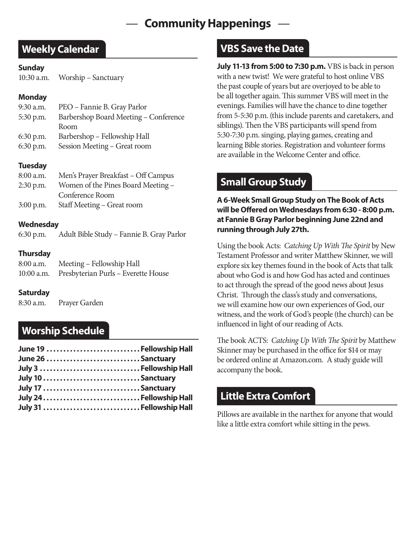# — **Community Happenings** *—*

## **Weekly Calendar**

#### **Sunday**

10:30 a.m. Worship – Sanctuary

### **Monday**

| PEO - Fannie B. Gray Parlor           |  |  |  |
|---------------------------------------|--|--|--|
| Barbershop Board Meeting - Conference |  |  |  |
| Room                                  |  |  |  |
| Barbershop – Fellowship Hall          |  |  |  |
| Session Meeting – Great room          |  |  |  |
|                                       |  |  |  |

### **Tuesday**

| 8:00 a.m.   | Men's Prayer Breakfast - Off Campus |
|-------------|-------------------------------------|
| $2:30$ p.m. | Women of the Pines Board Meeting -  |
|             | Conference Room                     |
| $3:00$ p.m. | Staff Meeting – Great room          |

### **Wednesday**

6:30 p.m. Adult Bible Study – Fannie B. Gray Parlor

### **Thursday**

| 8:00 a.m.    | Meeting – Fellowship Hall           |
|--------------|-------------------------------------|
| $10:00$ a.m. | Presbyterian Purls - Everette House |

### **Saturday**

8:30 a.m. Prayer Garden

## **Worship Schedule**

| June 19 Fellowship Hall |  |
|-------------------------|--|
| June 26 Sanctuary       |  |
| July 3 Fellowship Hall  |  |
|                         |  |
| July 17 Sanctuary       |  |
|                         |  |
| July 31 Fellowship Hall |  |

### **VBS Save the Date**

**July 11-13 from 5:00 to 7:30 p.m.** VBS is back in person with a new twist! We were grateful to host online VBS the past couple of years but are overjoyed to be able to be all together again. This summer VBS will meet in the evenings. Families will have the chance to dine together from 5-5:30 p.m. (this include parents and caretakers, and siblings). Then the VBS participants will spend from 5:30-7:30 p.m. singing, playing games, creating and learning Bible stories. Registration and volunteer forms are available in the Welcome Center and office.

# **Small Group Study**

**A 6-Week Small Group Study on The Book of Acts will be Offered on Wednesdays from 6:30 - 8:00 p.m. at Fannie B Gray Parlor beginning June 22nd and running through July 27th.**

Using the book Acts: *Catching Up With The Spirit* by New Testament Professor and writer Matthew Skinner, we will explore six key themes found in the book of Acts that talk about who God is and how God has acted and continues to act through the spread of the good news about Jesus Christ. Through the class's study and conversations, we will examine how our own experiences of God, our witness, and the work of God's people (the church) can be influenced in light of our reading of Acts.

The book ACTS: *Catching Up With The Spirit* by Matthew Skinner may be purchased in the office for \$14 or may be ordered online at Amazon.com. A study guide will accompany the book.

### **Little Extra Comfort**

Pillows are available in the narthex for anyone that would like a little extra comfort while sitting in the pews.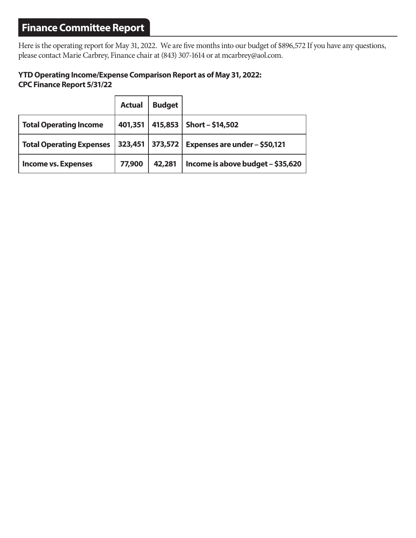## **Finance Committee Report**

Here is the operating report for May 31, 2022. We are five months into our budget of \$896,572 If you have any questions, please contact Marie Carbrey, Finance chair at (843) 307-1614 or at mcarbrey@aol.com.

#### **YTD Operating Income/Expense Comparison Report as of May 31, 2022: CPC Finance Report 5/31/22**

|                                 | <b>Actual</b> | <b>Budget</b> |                                   |
|---------------------------------|---------------|---------------|-----------------------------------|
| <b>Total Operating Income</b>   | 401,351       | 415,853       | Short - $$14,502$                 |
| <b>Total Operating Expenses</b> | 323,451       | 373,572       | Expenses are under - \$50,121     |
| <b>Income vs. Expenses</b>      | 77,900        | 42,281        | Income is above budget - \$35,620 |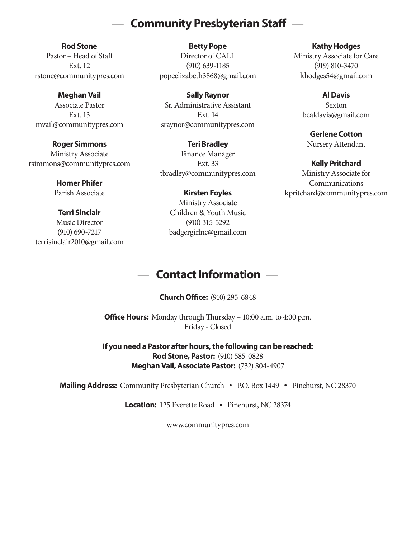## — **Community Presbyterian Staff** *—*

**Rod Stone** Pastor – Head of Staff Ext. 12 rstone@communitypres.com

**Meghan Vail** Associate Pastor Ext. 13 mvail@communitypres.com

**Roger Simmons** Ministry Associate rsimmons@communitypres.com

> **Homer Phifer** Parish Associate

## **Terri Sinclair**

Music Director (910) 690-7217 terrisinclair2010@gmail.com

**Betty Pope** Director of CALL (910) 639-1185 popeelizabeth3868@gmail.com

**Sally Raynor** Sr. Administrative Assistant Ext. 14 sraynor@communitypres.com

**Teri Bradley** Finance Manager Ext. 33 tbradley@communitypres.com

**Kirsten Foyles** Ministry Associate Children & Youth Music (910) 315-5292 badgergirlnc@gmail.com

**Kathy Hodges** Ministry Associate for Care (919) 810-3470 khodges54@gmail.com

**Al Davis** Sexton bcaldavis@gmail.com

**Gerlene Cotton** Nursery Attendant

**Kelly Pritchard** Ministry Associate for Communications kpritchard@communitypres.com

# — **Contact Information** *—*

**Church Office:** (910) 295-6848

**Office Hours:** Monday through Thursday – 10:00 a.m. to 4:00 p.m. Friday - Closed

**If you need a Pastor after hours, the following can be reached: Rod Stone, Pastor:** (910) 585-0828 **Meghan Vail, Associate Pastor:** (732) 804-4907

**Mailing Address:** Community Presbyterian Church • P.O. Box 1449 • Pinehurst, NC 28370

**Location:** 125 Everette Road • Pinehurst, NC 28374

www.communitypres.com